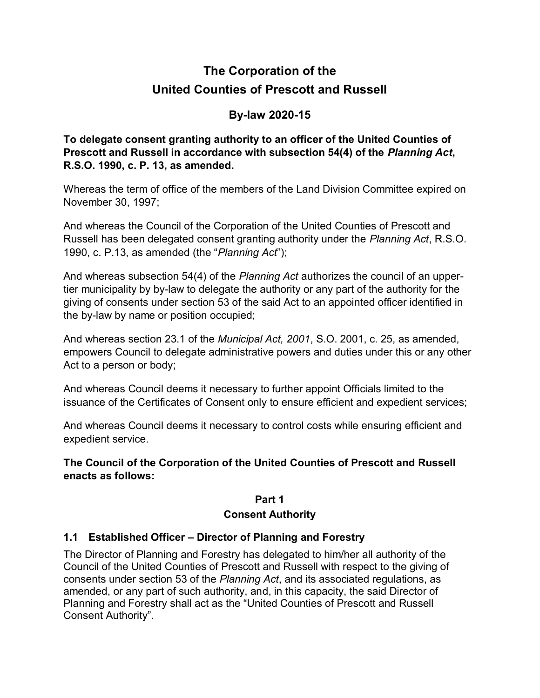# **The Corporation of the United Counties of Prescott and Russell**

# **By-law 2020-15**

**To delegate consent granting authority to an officer of the United Counties of Prescott and Russell in accordance with subsection 54(4) of the** *Planning Act***, R.S.O. 1990, c. P. 13, as amended.**

Whereas the term of office of the members of the Land Division Committee expired on November 30, 1997;

And whereas the Council of the Corporation of the United Counties of Prescott and Russell has been delegated consent granting authority under the *Planning Act*, R.S.O. 1990, c. P.13, as amended (the "*Planning Act*");

And whereas subsection 54(4) of the *Planning Act* authorizes the council of an uppertier municipality by by-law to delegate the authority or any part of the authority for the giving of consents under section 53 of the said Act to an appointed officer identified in the by-law by name or position occupied;

And whereas section 23.1 of the *Municipal Act, 2001*, S.O. 2001, c. 25, as amended, empowers Council to delegate administrative powers and duties under this or any other Act to a person or body;

And whereas Council deems it necessary to further appoint Officials limited to the issuance of the Certificates of Consent only to ensure efficient and expedient services;

And whereas Council deems it necessary to control costs while ensuring efficient and expedient service.

**The Council of the Corporation of the United Counties of Prescott and Russell enacts as follows:**

# **Part 1**

# **Consent Authority**

# **1.1 Established Officer – Director of Planning and Forestry**

The Director of Planning and Forestry has delegated to him/her all authority of the Council of the United Counties of Prescott and Russell with respect to the giving of consents under section 53 of the *Planning Act*, and its associated regulations, as amended, or any part of such authority, and, in this capacity, the said Director of Planning and Forestry shall act as the "United Counties of Prescott and Russell Consent Authority".